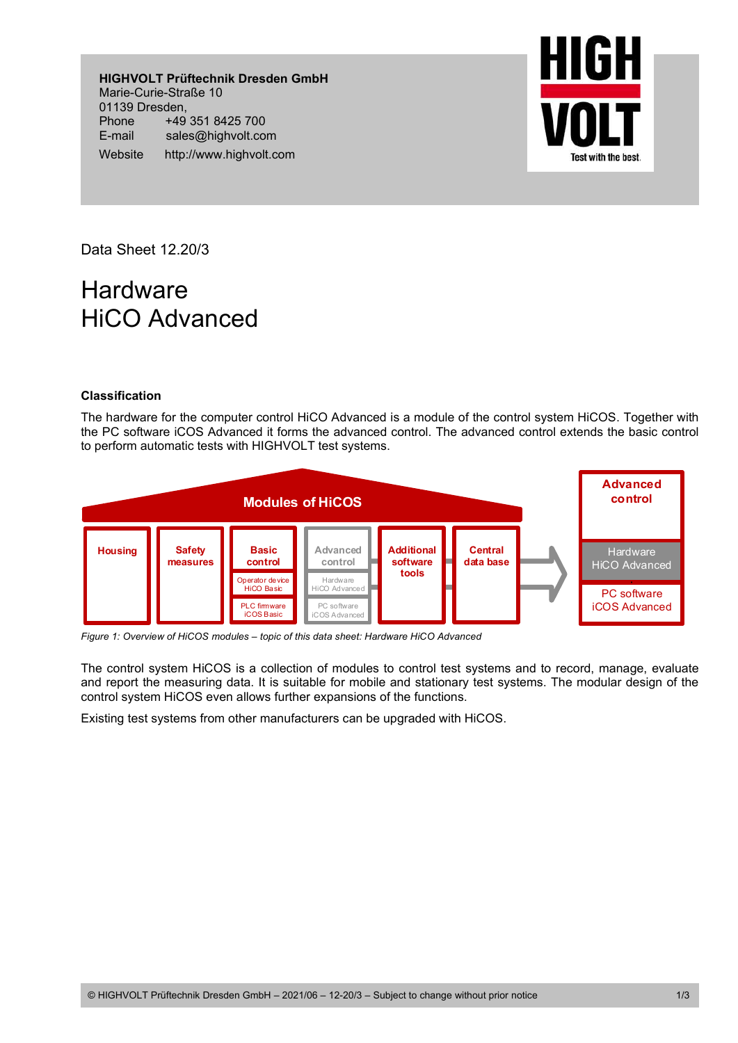**HIGHVOLT Prüftechnik Dresden GmbH**  Marie-Curie-Straße 10 01139 Dresden, Phone +49 351 8425 700 E-mail sales@highvolt.com Website http://www.highvolt.com



Data Sheet 12.20/3

## **Hardware** HiCO Advanced

## **Classification**

The hardware for the computer control HiCO Advanced is a module of the control system HiCOS. Together with the PC software iCOS Advanced it forms the advanced control. The advanced control extends the basic control to perform automatic tests with HIGHVOLT test systems.



*Figure 1: Overview of HiCOS modules – topic of this data sheet: Hardware HiCO Advanced* 

The control system HiCOS is a collection of modules to control test systems and to record, manage, evaluate and report the measuring data. It is suitable for mobile and stationary test systems. The modular design of the control system HiCOS even allows further expansions of the functions.

Existing test systems from other manufacturers can be upgraded with HiCOS.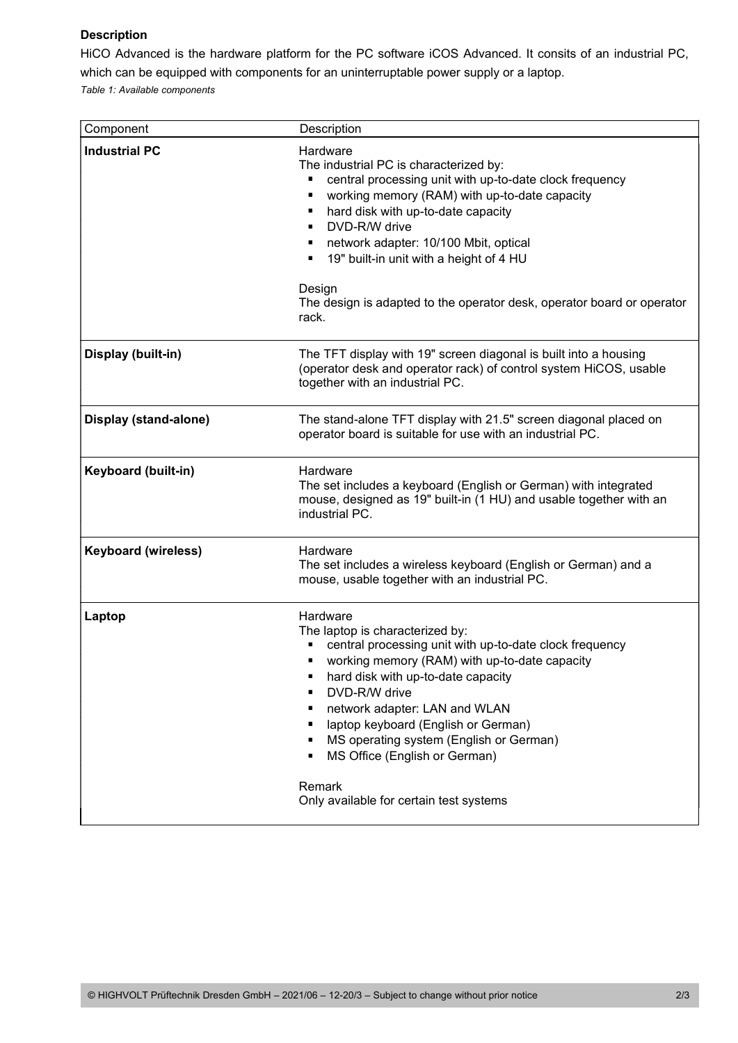## **Description**

HiCO Advanced is the hardware platform for the PC software iCOS Advanced. It consits of an industrial PC, which can be equipped with components for an uninterruptable power supply or a laptop.

*Table 1: Available components* 

| Component                  | Description                                                                                                                                                                                                                                                                                                                                                                                                                             |
|----------------------------|-----------------------------------------------------------------------------------------------------------------------------------------------------------------------------------------------------------------------------------------------------------------------------------------------------------------------------------------------------------------------------------------------------------------------------------------|
| <b>Industrial PC</b>       | Hardware<br>The industrial PC is characterized by:<br>central processing unit with up-to-date clock frequency<br>working memory (RAM) with up-to-date capacity<br>٠<br>hard disk with up-to-date capacity<br>п<br>DVD-R/W drive<br>$\blacksquare$<br>network adapter: 10/100 Mbit, optical<br>19" built-in unit with a height of 4 HU<br>٠<br>Design<br>The design is adapted to the operator desk, operator board or operator<br>rack. |
| Display (built-in)         | The TFT display with 19" screen diagonal is built into a housing<br>(operator desk and operator rack) of control system HiCOS, usable<br>together with an industrial PC.                                                                                                                                                                                                                                                                |
| Display (stand-alone)      | The stand-alone TFT display with 21.5" screen diagonal placed on<br>operator board is suitable for use with an industrial PC.                                                                                                                                                                                                                                                                                                           |
| <b>Keyboard (built-in)</b> | Hardware<br>The set includes a keyboard (English or German) with integrated<br>mouse, designed as 19" built-in (1 HU) and usable together with an<br>industrial PC.                                                                                                                                                                                                                                                                     |
| <b>Keyboard (wireless)</b> | Hardware<br>The set includes a wireless keyboard (English or German) and a<br>mouse, usable together with an industrial PC.                                                                                                                                                                                                                                                                                                             |
| Laptop                     | Hardware<br>The laptop is characterized by:<br>central processing unit with up-to-date clock frequency<br>working memory (RAM) with up-to-date capacity<br>hard disk with up-to-date capacity<br>DVD-R/W drive<br>network adapter: LAN and WLAN<br>laptop keyboard (English or German)<br>MS operating system (English or German)<br>MS Office (English or German)<br>Remark<br>Only available for certain test systems                 |